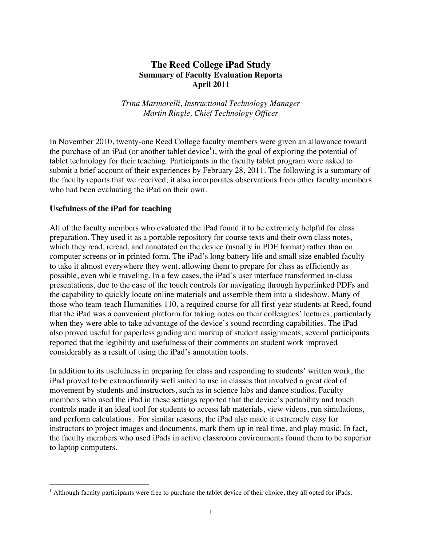# **The Reed College iPad Study Summary of Faculty Evaluation Reports April 2011**

*Trina Marmarelli, Instructional Technology Manager Martin Ringle, Chief Technology Officer*

In November 2010, twenty-one Reed College faculty members were given an allowance toward the purchase of an iPad (or another tablet device<sup>1</sup>), with the goal of exploring the potential of tablet technology for their teaching. Participants in the faculty tablet program were asked to submit a brief account of their experiences by February 28, 2011. The following is a summary of the faculty reports that we received; it also incorporates observations from other faculty members who had been evaluating the iPad on their own.

#### **Usefulness of the iPad for teaching**

 $\overline{a}$ 

All of the faculty members who evaluated the iPad found it to be extremely helpful for class preparation. They used it as a portable repository for course texts and their own class notes, which they read, reread, and annotated on the device (usually in PDF format) rather than on computer screens or in printed form. The iPad's long battery life and small size enabled faculty to take it almost everywhere they went, allowing them to prepare for class as efficiently as possible, even while traveling. In a few cases, the iPad's user interface transformed in-class presentations, due to the ease of the touch controls for navigating through hyperlinked PDFs and the capability to quickly locate online materials and assemble them into a slideshow. Many of those who team-teach Humanities 110, a required course for all first-year students at Reed, found that the iPad was a convenient platform for taking notes on their colleagues' lectures, particularly when they were able to take advantage of the device's sound recording capabilities. The iPad also proved useful for paperless grading and markup of student assignments; several participants reported that the legibility and usefulness of their comments on student work improved considerably as a result of using the iPad's annotation tools.

In addition to its usefulness in preparing for class and responding to students' written work, the iPad proved to be extraordinarily well suited to use in classes that involved a great deal of movement by students and instructors, such as in science labs and dance studios. Faculty members who used the iPad in these settings reported that the device's portability and touch controls made it an ideal tool for students to access lab materials, view videos, run simulations, and perform calculations. For similar reasons, the iPad also made it extremely easy for instructors to project images and documents, mark them up in real time, and play music. In fact, the faculty members who used iPads in active classroom environments found them to be superior to laptop computers.

<sup>&</sup>lt;sup>1</sup> Although faculty participants were free to purchase the tablet device of their choice, they all opted for iPads.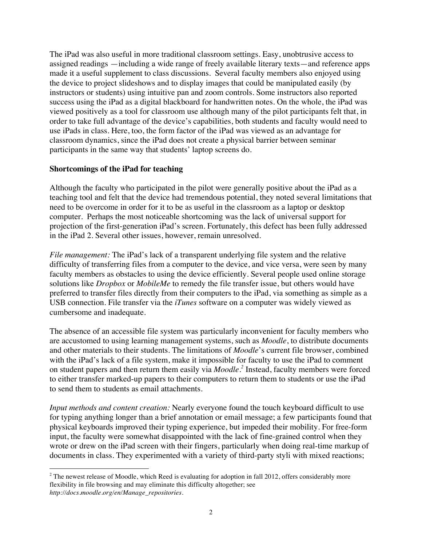The iPad was also useful in more traditional classroom settings. Easy, unobtrusive access to assigned readings —including a wide range of freely available literary texts—and reference apps made it a useful supplement to class discussions. Several faculty members also enjoyed using the device to project slideshows and to display images that could be manipulated easily (by instructors or students) using intuitive pan and zoom controls. Some instructors also reported success using the iPad as a digital blackboard for handwritten notes. On the whole, the iPad was viewed positively as a tool for classroom use although many of the pilot participants felt that, in order to take full advantage of the device's capabilities, both students and faculty would need to use iPads in class. Here, too, the form factor of the iPad was viewed as an advantage for classroom dynamics, since the iPad does not create a physical barrier between seminar participants in the same way that students' laptop screens do.

## **Shortcomings of the iPad for teaching**

Although the faculty who participated in the pilot were generally positive about the iPad as a teaching tool and felt that the device had tremendous potential, they noted several limitations that need to be overcome in order for it to be as useful in the classroom as a laptop or desktop computer. Perhaps the most noticeable shortcoming was the lack of universal support for projection of the first-generation iPad's screen. Fortunately, this defect has been fully addressed in the iPad 2. Several other issues, however, remain unresolved.

*File management:* The iPad's lack of a transparent underlying file system and the relative difficulty of transferring files from a computer to the device, and vice versa, were seen by many faculty members as obstacles to using the device efficiently. Several people used online storage solutions like *Dropbox* or *MobileMe* to remedy the file transfer issue, but others would have preferred to transfer files directly from their computers to the iPad, via something as simple as a USB connection. File transfer via the *iTunes* software on a computer was widely viewed as cumbersome and inadequate.

The absence of an accessible file system was particularly inconvenient for faculty members who are accustomed to using learning management systems, such as *Moodle*, to distribute documents and other materials to their students. The limitations of *Moodle*'s current file browser, combined with the iPad's lack of a file system, make it impossible for faculty to use the iPad to comment on student papers and then return them easily via *Moodle*. *<sup>2</sup>* Instead, faculty members were forced to either transfer marked-up papers to their computers to return them to students or use the iPad to send them to students as email attachments.

*Input methods and content creation:* Nearly everyone found the touch keyboard difficult to use for typing anything longer than a brief annotation or email message; a few participants found that physical keyboards improved their typing experience, but impeded their mobility. For free-form input, the faculty were somewhat disappointed with the lack of fine-grained control when they wrote or drew on the iPad screen with their fingers, particularly when doing real-time markup of documents in class. They experimented with a variety of third-party styli with mixed reactions;

 $\overline{a}$ <sup>2</sup> The newest release of Moodle, which Reed is evaluating for adoption in fall 2012, offers considerably more flexibility in file browsing and may eliminate this difficulty altogether; see *http://docs.moodle.org/en/Manage\_repositories*.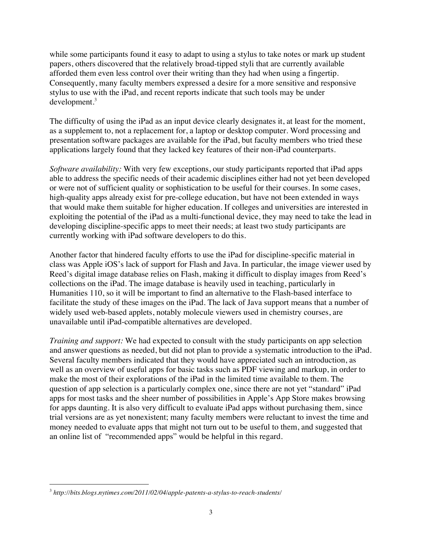while some participants found it easy to adapt to using a stylus to take notes or mark up student papers, others discovered that the relatively broad-tipped styli that are currently available afforded them even less control over their writing than they had when using a fingertip. Consequently, many faculty members expressed a desire for a more sensitive and responsive stylus to use with the iPad, and recent reports indicate that such tools may be under development.<sup>3</sup>

The difficulty of using the iPad as an input device clearly designates it, at least for the moment, as a supplement to, not a replacement for, a laptop or desktop computer. Word processing and presentation software packages are available for the iPad, but faculty members who tried these applications largely found that they lacked key features of their non-iPad counterparts.

*Software availability:* With very few exceptions, our study participants reported that iPad apps able to address the specific needs of their academic disciplines either had not yet been developed or were not of sufficient quality or sophistication to be useful for their courses. In some cases, high-quality apps already exist for pre-college education, but have not been extended in ways that would make them suitable for higher education. If colleges and universities are interested in exploiting the potential of the iPad as a multi-functional device, they may need to take the lead in developing discipline-specific apps to meet their needs; at least two study participants are currently working with iPad software developers to do this.

Another factor that hindered faculty efforts to use the iPad for discipline-specific material in class was Apple iOS's lack of support for Flash and Java. In particular, the image viewer used by Reed's digital image database relies on Flash, making it difficult to display images from Reed's collections on the iPad. The image database is heavily used in teaching, particularly in Humanities 110, so it will be important to find an alternative to the Flash-based interface to facilitate the study of these images on the iPad. The lack of Java support means that a number of widely used web-based applets, notably molecule viewers used in chemistry courses, are unavailable until iPad-compatible alternatives are developed.

*Training and support:* We had expected to consult with the study participants on app selection and answer questions as needed, but did not plan to provide a systematic introduction to the iPad. Several faculty members indicated that they would have appreciated such an introduction, as well as an overview of useful apps for basic tasks such as PDF viewing and markup, in order to make the most of their explorations of the iPad in the limited time available to them. The question of app selection is a particularly complex one, since there are not yet "standard" iPad apps for most tasks and the sheer number of possibilities in Apple's App Store makes browsing for apps daunting. It is also very difficult to evaluate iPad apps without purchasing them, since trial versions are as yet nonexistent; many faculty members were reluctant to invest the time and money needed to evaluate apps that might not turn out to be useful to them, and suggested that an online list of "recommended apps" would be helpful in this regard.

 $\overline{a}$ <sup>3</sup> *http://bits.blogs.nytimes.com/2011/02/04/apple-patents-a-stylus-to-reach-students/*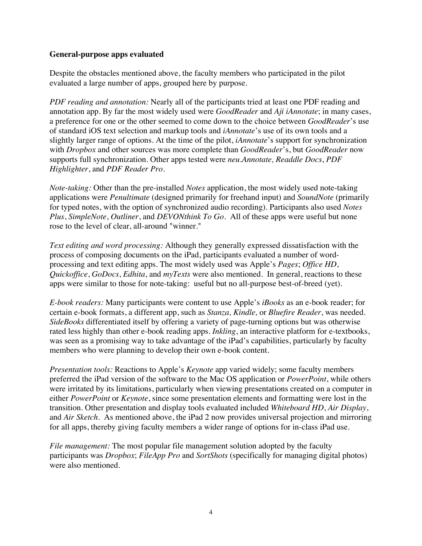#### **General-purpose apps evaluated**

Despite the obstacles mentioned above, the faculty members who participated in the pilot evaluated a large number of apps, grouped here by purpose.

*PDF reading and annotation:* Nearly all of the participants tried at least one PDF reading and annotation app. By far the most widely used were *GoodReader* and *Aji iAnnotate*; in many cases, a preference for one or the other seemed to come down to the choice between *GoodReader*'s use of standard iOS text selection and markup tools and *iAnnotate*'s use of its own tools and a slightly larger range of options. At the time of the pilot, *iAnnotate*'s support for synchronization with *Dropbox* and other sources was more complete than *GoodReader*'s, but *GoodReader* now supports full synchronization. Other apps tested were *neu.Annotate, Readdle Docs*, *PDF Highlighter*, and *PDF Reader Pro*.

*Note-taking:* Other than the pre-installed *Notes* application, the most widely used note-taking applications were *Penultimate* (designed primarily for freehand input) and *SoundNote* (primarily for typed notes, with the option of synchronized audio recording). Participants also used *Notes Plus*, *SimpleNote*, *Outliner*, and *DEVONthink To Go*. All of these apps were useful but none rose to the level of clear, all-around "winner."

*Text editing and word processing:* Although they generally expressed dissatisfaction with the process of composing documents on the iPad, participants evaluated a number of wordprocessing and text editing apps. The most widely used was Apple's *Pages*; *Office HD*, *Quickoffice*, *GoDocs*, *Edhita*, and *myTexts* were also mentioned. In general, reactions to these apps were similar to those for note-taking: useful but no all-purpose best-of-breed (yet).

*E-book readers:* Many participants were content to use Apple's *iBooks* as an e-book reader; for certain e-book formats, a different app, such as *Stanza, Kindle,* or *Bluefire Reader*, was needed. *SideBooks* differentiated itself by offering a variety of page-turning options but was otherwise rated less highly than other e-book reading apps. *Inkling*, an interactive platform for e-textbooks, was seen as a promising way to take advantage of the iPad's capabilities, particularly by faculty members who were planning to develop their own e-book content.

*Presentation tools:* Reactions to Apple's *Keynote* app varied widely; some faculty members preferred the iPad version of the software to the Mac OS application or *PowerPoint*, while others were irritated by its limitations, particularly when viewing presentations created on a computer in either *PowerPoint* or *Keynote*, since some presentation elements and formatting were lost in the transition. Other presentation and display tools evaluated included *Whiteboard HD*, *Air Display*, and *Air Sketch*. As mentioned above, the iPad 2 now provides universal projection and mirroring for all apps, thereby giving faculty members a wider range of options for in-class iPad use.

*File management:* The most popular file management solution adopted by the faculty participants was *Dropbox*; *FileApp Pro* and *SortShots* (specifically for managing digital photos) were also mentioned.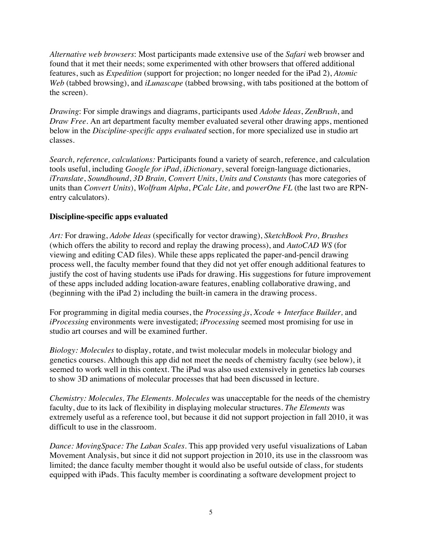*Alternative web browsers*: Most participants made extensive use of the *Safari* web browser and found that it met their needs; some experimented with other browsers that offered additional features, such as *Expedition* (support for projection; no longer needed for the iPad 2), *Atomic Web* (tabbed browsing), and *iLunascape* (tabbed browsing, with tabs positioned at the bottom of the screen).

*Drawing*: For simple drawings and diagrams, participants used *Adobe Ideas*, *ZenBrush*, and *Draw Free.* An art department faculty member evaluated several other drawing apps, mentioned below in the *Discipline-specific apps evaluated* section, for more specialized use in studio art classes.

*Search, reference, calculations:* Participants found a variety of search, reference, and calculation tools useful, including *Google for iPad*, *iDictionary*, several foreign-language dictionaries, *iTranslate*, *Soundhound*, *3D Brain, Convert Units*, *Units and Constants* (has more categories of units than *Convert Units*), *Wolfram Alpha*, *PCalc Lite,* and *powerOne FL* (the last two are RPNentry calculators)*.*

## **Discipline-specific apps evaluated**

*Art:* For drawing, *Adobe Ideas* (specifically for vector drawing), *SketchBook Pro, Brushes* (which offers the ability to record and replay the drawing process), and *AutoCAD WS* (for viewing and editing CAD files). While these apps replicated the paper-and-pencil drawing process well, the faculty member found that they did not yet offer enough additional features to justify the cost of having students use iPads for drawing. His suggestions for future improvement of these apps included adding location-aware features, enabling collaborative drawing, and (beginning with the iPad 2) including the built-in camera in the drawing process.

For programming in digital media courses, the *Processing.js*, *Xcode + Interface Builder,* and *iProcessing* environments were investigated; *iProcessing* seemed most promising for use in studio art courses and will be examined further.

*Biology: Molecules* to display, rotate, and twist molecular models in molecular biology and genetics courses. Although this app did not meet the needs of chemistry faculty (see below), it seemed to work well in this context. The iPad was also used extensively in genetics lab courses to show 3D animations of molecular processes that had been discussed in lecture.

*Chemistry: Molecules, The Elements*. *Molecules* was unacceptable for the needs of the chemistry faculty, due to its lack of flexibility in displaying molecular structures. *The Elements* was extremely useful as a reference tool, but because it did not support projection in fall 2010, it was difficult to use in the classroom.

*Dance: MovingSpace: The Laban Scales*. This app provided very useful visualizations of Laban Movement Analysis, but since it did not support projection in 2010, its use in the classroom was limited; the dance faculty member thought it would also be useful outside of class, for students equipped with iPads. This faculty member is coordinating a software development project to